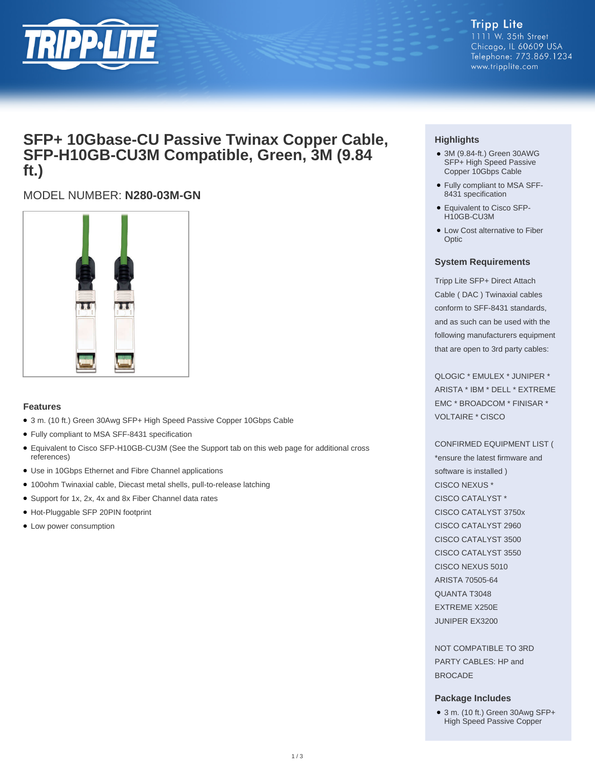

### **Tripp Lite** 1111 W. 35th Street Chicago, IL 60609 USA Telephone: 773.869.1234 www.tripplite.com

# **SFP+ 10Gbase-CU Passive Twinax Copper Cable, SFP-H10GB-CU3M Compatible, Green, 3M (9.84 ft.)**

# MODEL NUMBER: **N280-03M-GN**



# **Features**

- 3 m. (10 ft.) Green 30Awg SFP+ High Speed Passive Copper 10Gbps Cable
- Fully compliant to MSA SFF-8431 specification
- Equivalent to Cisco SFP-H10GB-CU3M (See the Support tab on this web page for additional cross references)
- Use in 10Gbps Ethernet and Fibre Channel applications
- 100ohm Twinaxial cable, Diecast metal shells, pull-to-release latching
- Support for 1x, 2x, 4x and 8x Fiber Channel data rates
- Hot-Pluggable SFP 20PIN footprint
- Low power consumption

# **Highlights**

- 3M (9.84-ft.) Green 30AWG SFP+ High Speed Passive Copper 10Gbps Cable
- Fully compliant to MSA SFF-8431 specification
- Equivalent to Cisco SFP-H10GB-CU3M
- Low Cost alternative to Fiber **Optic**

## **System Requirements**

Tripp Lite SFP+ Direct Attach Cable ( DAC ) Twinaxial cables conform to SFF-8431 standards, and as such can be used with the following manufacturers equipment that are open to 3rd party cables:

QLOGIC \* EMULEX \* JUNIPER \* ARISTA \* IBM \* DELL \* EXTREME EMC \* BROADCOM \* FINISAR \* VOLTAIRE \* CISCO

### CONFIRMED EQUIPMENT LIST (

\*ensure the latest firmware and software is installed ) CISCO NEXUS \* CISCO CATALYST \* CISCO CATALYST 3750x CISCO CATALYST 2960 CISCO CATALYST 3500 CISCO CATALYST 3550 CISCO NEXUS 5010 ARISTA 70505-64 QUANTA T3048 EXTREME X250E JUNIPER EX3200

NOT COMPATIBLE TO 3RD PARTY CABLES: HP and BROCADE

### **Package Includes**

● 3 m. (10 ft.) Green 30Awg SFP+ High Speed Passive Copper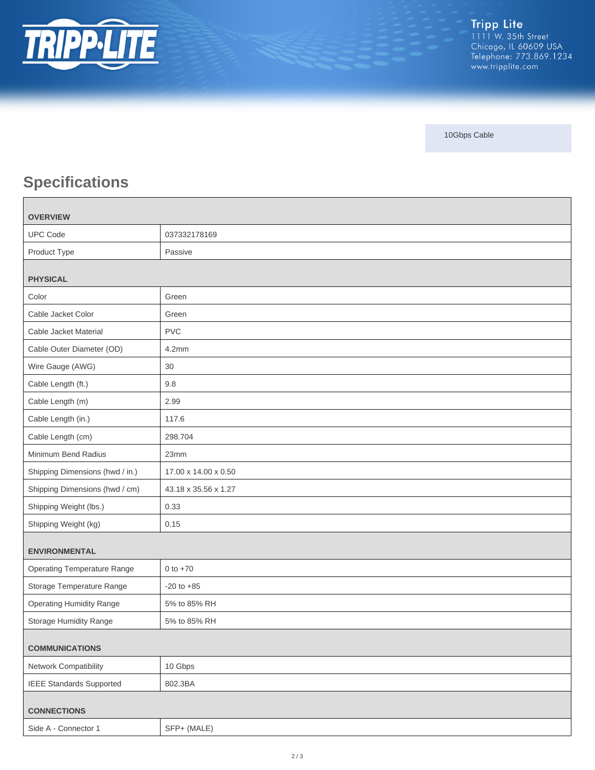

10Gbps Cable

# **Specifications**

| <b>OVERVIEW</b>                    |                      |
|------------------------------------|----------------------|
| <b>UPC Code</b>                    | 037332178169         |
| Product Type                       | Passive              |
| <b>PHYSICAL</b>                    |                      |
| Color                              | Green                |
| Cable Jacket Color                 | Green                |
| Cable Jacket Material              | <b>PVC</b>           |
| Cable Outer Diameter (OD)          | 4.2mm                |
| Wire Gauge (AWG)                   | $30\,$               |
| Cable Length (ft.)                 | 9.8                  |
| Cable Length (m)                   | 2.99                 |
| Cable Length (in.)                 | 117.6                |
| Cable Length (cm)                  | 298.704              |
| Minimum Bend Radius                | 23mm                 |
| Shipping Dimensions (hwd / in.)    | 17.00 x 14.00 x 0.50 |
| Shipping Dimensions (hwd / cm)     | 43.18 x 35.56 x 1.27 |
| Shipping Weight (lbs.)             | 0.33                 |
| Shipping Weight (kg)               | 0.15                 |
| <b>ENVIRONMENTAL</b>               |                      |
| <b>Operating Temperature Range</b> | 0 to $+70$           |
| Storage Temperature Range          | $-20$ to $+85$       |
| <b>Operating Humidity Range</b>    | 5% to 85% RH         |
| Storage Humidity Range             | 5% to 85% RH         |
| <b>COMMUNICATIONS</b>              |                      |
| Network Compatibility              | 10 Gbps              |
| <b>IEEE Standards Supported</b>    | 802.3BA              |
| <b>CONNECTIONS</b>                 |                      |
| Side A - Connector 1               | SFP+ (MALE)          |